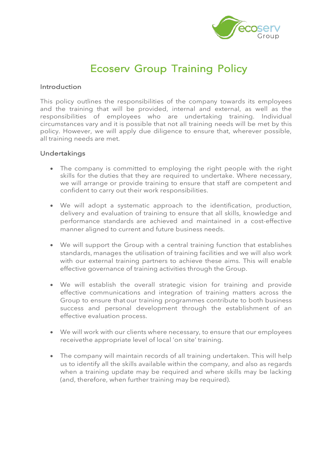

## Ecoserv Group Training Policy

## Introduction

This policy outlines the responsibilities of the company towards its employees and the training that will be provided, internal and external, as well as the responsibilities of employees who are undertaking training. Individual circumstances vary and it is possible that not all training needs will be met by this policy. However, we will apply due diligence to ensure that, wherever possible, all training needs are met.

## Undertakings

- The company is committed to employing the right people with the right skills for the duties that they are required to undertake. Where necessary, we will arrange or provide training to ensure that staff are competent and confident to carry out their work responsibilities.
- We will adopt a systematic approach to the identification, production, delivery and evaluation of training to ensure that all skills, knowledge and performance standards are achieved and maintained in a cost-effective manner aligned to current and future business needs.
- We will support the Group with a central training function that establishes standards, manages the utilisation of training facilities and we will also work with our external training partners to achieve these aims. This will enable effective governance of training activities through the Group.
- We will establish the overall strategic vision for training and provide effective communications and integration of training matters across the Group to ensure that our training programmes contribute to both business success and personal development through the establishment of an effective evaluation process.
- We will work with our clients where necessary, to ensure that our employees receivethe appropriate level of local 'on site' training.
- The company will maintain records of all training undertaken. This will help us to identify all the skills available within the company, and also as regards when a training update may be required and where skills may be lacking (and, therefore, when further training may be required).